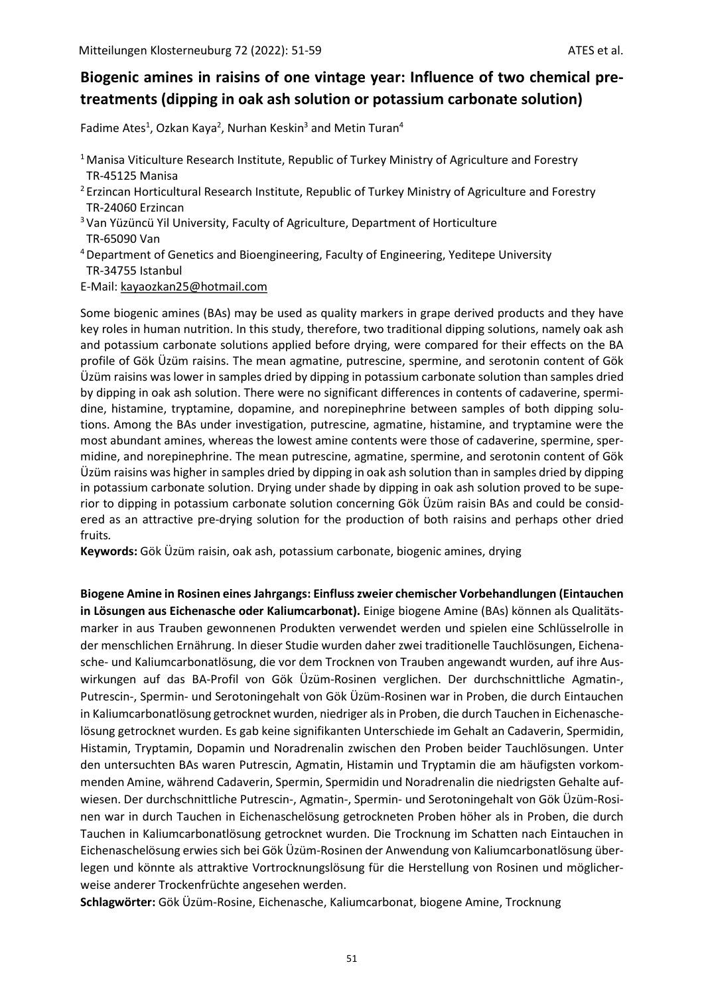# **Biogenic amines in raisins of one vintage year: Influence of two chemical pretreatments (dipping in oak ash solution or potassium carbonate solution)**

Fadime Ates<sup>1</sup>, Ozkan Kaya<sup>2</sup>, Nurhan Keskin<sup>3</sup> and Metin Turan<sup>4</sup>

- <sup>1</sup> Manisa Viticulture Research Institute, Republic of Turkey Ministry of Agriculture and Forestry TR-45125 Manisa
- <sup>2</sup> Erzincan Horticultural Research Institute, Republic of Turkey Ministry of Agriculture and Forestry TR-24060 Erzincan
- <sup>3</sup> Van Yüzüncü Yil University, Faculty of Agriculture, Department of Horticulture TR-65090 Van
- <sup>4</sup>Department of Genetics and Bioengineering, Faculty of Engineering, Yeditepe University TR-34755 Istanbul
- E-Mail: [kayaozkan25@hotmail.com](mailto:kayaozkan25@hotmail.com)

Some biogenic amines (BAs) may be used as quality markers in grape derived products and they have key roles in human nutrition. In this study, therefore, two traditional dipping solutions, namely oak ash and potassium carbonate solutions applied before drying, were compared for their effects on the BA profile of Gök Üzüm raisins. The mean agmatine, putrescine, spermine, and serotonin content of Gök Üzüm raisins was lower in samples dried by dipping in potassium carbonate solution than samples dried by dipping in oak ash solution. There were no significant differences in contents of cadaverine, spermidine, histamine, tryptamine, dopamine, and norepinephrine between samples of both dipping solutions. Among the BAs under investigation, putrescine, agmatine, histamine, and tryptamine were the most abundant amines, whereas the lowest amine contents were those of cadaverine, spermine, spermidine, and norepinephrine. The mean putrescine, agmatine, spermine, and serotonin content of Gök Üzüm raisins was higher in samples dried by dipping in oak ash solution than in samples dried by dipping in potassium carbonate solution. Drying under shade by dipping in oak ash solution proved to be superior to dipping in potassium carbonate solution concerning Gök Üzüm raisin BAs and could be considered as an attractive pre-drying solution for the production of both raisins and perhaps other dried fruits*.* 

**Keywords:** Gök Üzüm raisin, oak ash, potassium carbonate, biogenic amines, drying

**Biogene Amine in Rosinen eines Jahrgangs: Einfluss zweier chemischer Vorbehandlungen (Eintauchen in Lösungen aus Eichenasche oder Kaliumcarbonat).** Einige biogene Amine (BAs) können als Qualitätsmarker in aus Trauben gewonnenen Produkten verwendet werden und spielen eine Schlüsselrolle in der menschlichen Ernährung. In dieser Studie wurden daher zwei traditionelle Tauchlösungen, Eichenasche- und Kaliumcarbonatlösung, die vor dem Trocknen von Trauben angewandt wurden, auf ihre Auswirkungen auf das BA-Profil von Gök Üzüm-Rosinen verglichen. Der durchschnittliche Agmatin-, Putrescin-, Spermin- und Serotoningehalt von Gök Üzüm-Rosinen war in Proben, die durch Eintauchen in Kaliumcarbonatlösung getrocknet wurden, niedriger als in Proben, die durch Tauchen in Eichenaschelösung getrocknet wurden. Es gab keine signifikanten Unterschiede im Gehalt an Cadaverin, Spermidin, Histamin, Tryptamin, Dopamin und Noradrenalin zwischen den Proben beider Tauchlösungen. Unter den untersuchten BAs waren Putrescin, Agmatin, Histamin und Tryptamin die am häufigsten vorkommenden Amine, während Cadaverin, Spermin, Spermidin und Noradrenalin die niedrigsten Gehalte aufwiesen. Der durchschnittliche Putrescin-, Agmatin-, Spermin- und Serotoningehalt von Gök Üzüm-Rosinen war in durch Tauchen in Eichenaschelösung getrockneten Proben höher als in Proben, die durch Tauchen in Kaliumcarbonatlösung getrocknet wurden. Die Trocknung im Schatten nach Eintauchen in Eichenaschelösung erwies sich bei Gök Üzüm-Rosinen der Anwendung von Kaliumcarbonatlösung überlegen und könnte als attraktive Vortrocknungslösung für die Herstellung von Rosinen und möglicherweise anderer Trockenfrüchte angesehen werden.

**Schlagwörter:** Gök Üzüm-Rosine, Eichenasche, Kaliumcarbonat, biogene Amine, Trocknung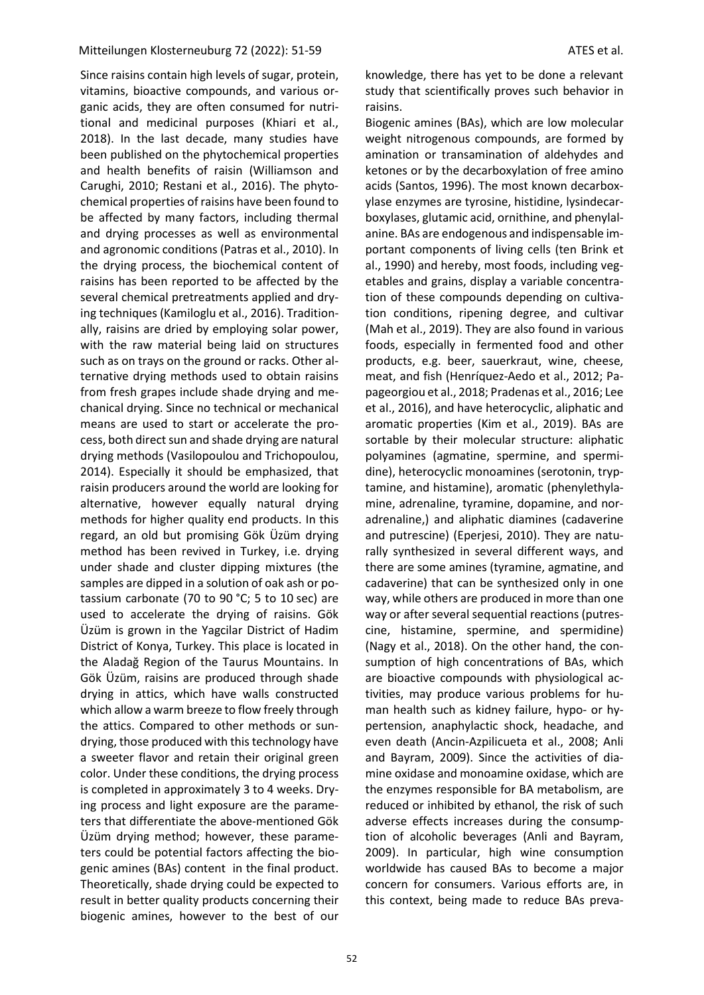Since raisins contain high levels of sugar, protein, vitamins, bioactive compounds, and various organic acids, they are often consumed for nutritional and medicinal purposes (Khiari et al., 2018). In the last decade, many studies have been published on the phytochemical properties and health benefits of raisin (Williamson and Carughi, 2010; Restani et al., 2016). The phytochemical properties of raisins have been found to be affected by many factors, including thermal and drying processes as well as environmental and agronomic conditions (Patras et al., 2010). In the drying process, the biochemical content of raisins has been reported to be affected by the several chemical pretreatments applied and drying techniques (Kamiloglu et al., 2016). Traditionally, raisins are dried by employing solar power, with the raw material being laid on structures such as on trays on the ground or racks. Other alternative drying methods used to obtain raisins from fresh grapes include shade drying and mechanical drying. Since no technical or mechanical means are used to start or accelerate the process, both direct sun and shade drying are natural drying methods (Vasilopoulou and Trichopoulou, 2014). Especially it should be emphasized, that raisin producers around the world are looking for alternative, however equally natural drying methods for higher quality end products. In this regard, an old but promising Gök Üzüm drying method has been revived in Turkey, i.e. drying under shade and cluster dipping mixtures (the samples are dipped in a solution of oak ash or potassium carbonate (70 to 90 °C; 5 to 10 sec) are used to accelerate the drying of raisins. Gök Üzüm is grown in the Yagcilar District of Hadim District of Konya, Turkey. This place is located in the Aladağ Region of the Taurus Mountains. In Gök Üzüm, raisins are produced through shade drying in attics, which have walls constructed which allow a warm breeze to flow freely through the attics. Compared to other methods or sundrying, those produced with this technology have a sweeter flavor and retain their original green color. Under these conditions, the drying process is completed in approximately 3 to 4 weeks. Drying process and light exposure are the parameters that differentiate the above-mentioned Gök Üzüm drying method; however, these parameters could be potential factors affecting the biogenic amines (BAs) content in the final product. Theoretically, shade drying could be expected to result in better quality products concerning their biogenic amines, however to the best of our

knowledge, there has yet to be done a relevant study that scientifically proves such behavior in raisins.

Biogenic amines (BAs), which are low molecular weight nitrogenous compounds, are formed by amination or transamination of aldehydes and ketones or by the decarboxylation of free amino acids (Santos, 1996). The most known decarboxylase enzymes are tyrosine, histidine, lysindecarboxylases, glutamic acid, ornithine, and phenylalanine. BAs are endogenous and indispensable important components of living cells (ten Brink et al., 1990) and hereby, most foods, including vegetables and grains, display a variable concentration of these compounds depending on cultivation conditions, ripening degree, and cultivar (Mah et al., 2019). They are also found in various foods, especially in fermented food and other products, e.g. beer, sauerkraut, wine, cheese, meat, and fish (Henríquez-Aedo et al., 2012; Papageorgiou et al., 2018; Pradenas et al., 2016; Lee et al., 2016), and have heterocyclic, aliphatic and aromatic properties (Kim et al., 2019). BAs are sortable by their molecular structure: aliphatic polyamines (agmatine, spermine, and spermidine), heterocyclic monoamines (serotonin, tryptamine, and histamine), aromatic (phenylethylamine, adrenaline, tyramine, dopamine, and noradrenaline,) and aliphatic diamines (cadaverine and putrescine) (Eperjesi, 2010). They are naturally synthesized in several different ways, and there are some amines (tyramine, agmatine, and cadaverine) that can be synthesized only in one way, while others are produced in more than one way or after several sequential reactions (putrescine, histamine, spermine, and spermidine) (Nagy et al., 2018). On the other hand, the consumption of high concentrations of BAs, which are bioactive compounds with physiological activities, may produce various problems for human health such as kidney failure, hypo- or hypertension, anaphylactic shock, headache, and even death (Ancin-Azpilicueta et al., 2008; Anli and Bayram, 2009). Since the activities of diamine oxidase and monoamine oxidase, which are the enzymes responsible for BA metabolism, are reduced or inhibited by ethanol, the risk of such adverse effects increases during the consumption of alcoholic beverages (Anli and Bayram, 2009). In particular, high wine consumption worldwide has caused BAs to become a major concern for consumers. Various efforts are, in this context, being made to reduce BAs preva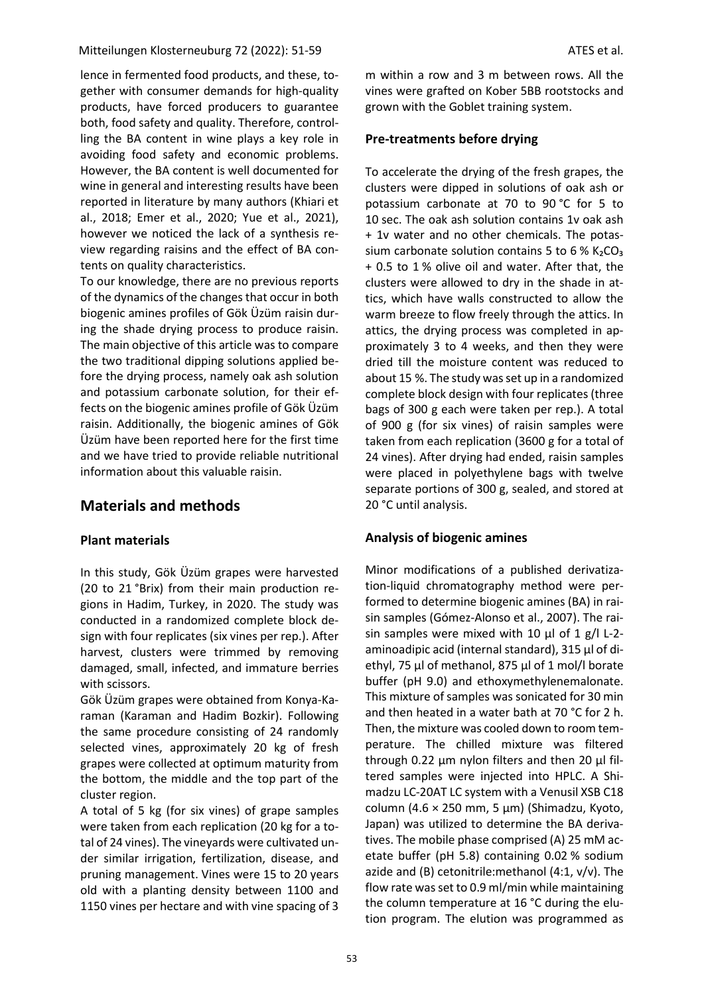lence in fermented food products, and these, together with consumer demands for high-quality products, have forced producers to guarantee both, food safety and quality. Therefore, controlling the BA content in wine plays a key role in avoiding food safety and economic problems. However, the BA content is well documented for wine in general and interesting results have been reported in literature by many authors (Khiari et al., 2018; Emer et al., 2020; Yue et al., 2021), however we noticed the lack of a synthesis review regarding raisins and the effect of BA contents on quality characteristics.

To our knowledge, there are no previous reports of the dynamics of the changes that occur in both biogenic amines profiles of Gök Üzüm raisin during the shade drying process to produce raisin. The main objective of this article was to compare the two traditional dipping solutions applied before the drying process, namely oak ash solution and potassium carbonate solution, for their effects on the biogenic amines profile of Gök Üzüm raisin. Additionally, the biogenic amines of Gök Üzüm have been reported here for the first time and we have tried to provide reliable nutritional information about this valuable raisin.

# **Materials and methods**

### **Plant materials**

In this study, Gök Üzüm grapes were harvested (20 to 21 °Brix) from their main production regions in Hadim, Turkey, in 2020. The study was conducted in a randomized complete block design with four replicates (six vines per rep.). After harvest, clusters were trimmed by removing damaged, small, infected, and immature berries with scissors.

Gök Üzüm grapes were obtained from Konya-Karaman (Karaman and Hadim Bozkir). Following the same procedure consisting of 24 randomly selected vines, approximately 20 kg of fresh grapes were collected at optimum maturity from the bottom, the middle and the top part of the cluster region.

A total of 5 kg (for six vines) of grape samples were taken from each replication (20 kg for a total of 24 vines). The vineyards were cultivated under similar irrigation, fertilization, disease, and pruning management. Vines were 15 to 20 years old with a planting density between 1100 and 1150 vines per hectare and with vine spacing of 3

m within a row and 3 m between rows. All the vines were grafted on Kober 5BB rootstocks and grown with the Goblet training system.

### **Pre-treatments before drying**

To accelerate the drying of the fresh grapes, the clusters were dipped in solutions of oak ash or potassium carbonate at 70 to 90 °C for 5 to 10 sec. The oak ash solution contains 1v oak ash + 1v water and no other chemicals. The potassium carbonate solution contains 5 to 6 %  $K_2CO_3$ + 0.5 to 1 % olive oil and water. After that, the clusters were allowed to dry in the shade in attics, which have walls constructed to allow the warm breeze to flow freely through the attics. In attics, the drying process was completed in approximately 3 to 4 weeks, and then they were dried till the moisture content was reduced to about 15 %. The study was set up in a randomized complete block design with four replicates (three bags of 300 g each were taken per rep.). A total of 900 g (for six vines) of raisin samples were taken from each replication (3600 g for a total of 24 vines). After drying had ended, raisin samples were placed in polyethylene bags with twelve separate portions of 300 g, sealed, and stored at 20 °C until analysis.

### **Analysis of biogenic amines**

Minor modifications of a published derivatization-liquid chromatography method were performed to determine biogenic amines (BA) in raisin samples (Gómez-Alonso et al., 2007). The raisin samples were mixed with 10 μl of 1 g/l L-2 aminoadipic acid (internal standard), 315 μl of diethyl, 75 μl of methanol, 875 μl of 1 mol/l borate buffer (pH 9.0) and ethoxymethylenemalonate. This mixture of samples was sonicated for 30 min and then heated in a water bath at 70 °C for 2 h. Then, the mixture was cooled down to room temperature. The chilled mixture was filtered through 0.22 μm nylon filters and then 20 μl filtered samples were injected into HPLC. A Shimadzu LC-20AT LC system with a Venusil XSB C18 column (4.6 × 250 mm, 5 μm) (Shimadzu, Kyoto, Japan) was utilized to determine the BA derivatives. The mobile phase comprised (A) 25 mM acetate buffer (pH 5.8) containing 0.02 % sodium azide and (B) cetonitrile:methanol (4:1, v/v). The flow rate was set to 0.9 ml/min while maintaining the column temperature at 16 °C during the elution program. The elution was programmed as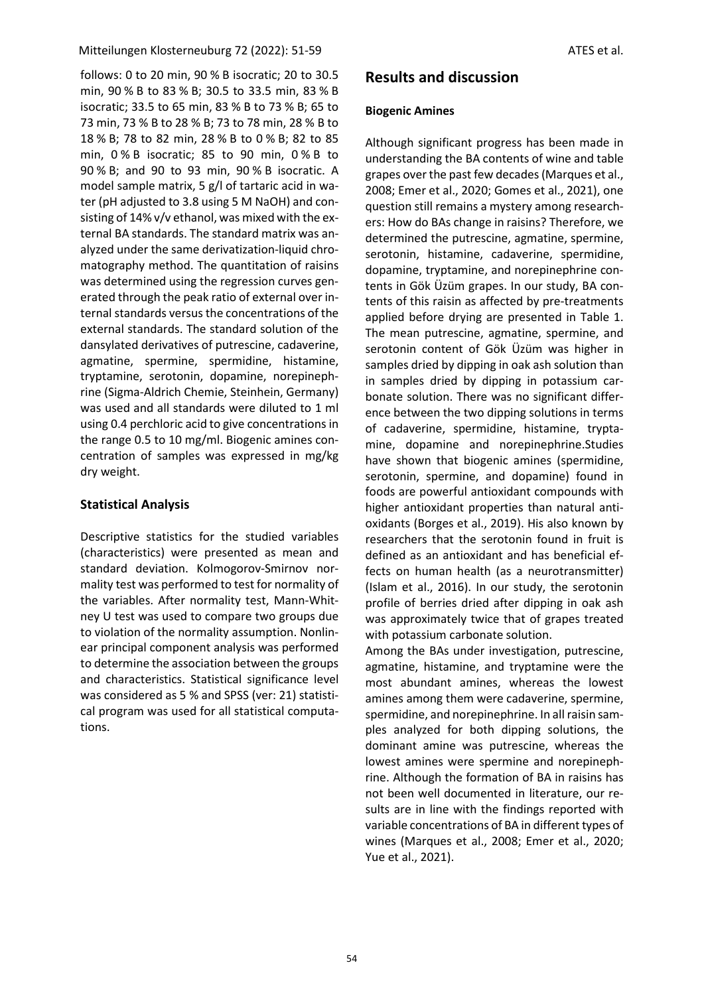follows: 0 to 20 min, 90 % B isocratic; 20 to 30.5 min, 90 % B to 83 % B; 30.5 to 33.5 min, 83 % B isocratic; 33.5 to 65 min, 83 % B to 73 % B; 65 to 73 min, 73 % B to 28 % B; 73 to 78 min, 28 % B to 18 % B; 78 to 82 min, 28 % B to 0 % B; 82 to 85 min, 0 % B isocratic; 85 to 90 min, 0 % B to 90 % B; and 90 to 93 min, 90 % B isocratic. A model sample matrix, 5 g/l of tartaric acid in water (pH adjusted to 3.8 using 5 M NaOH) and consisting of 14% v/v ethanol, was mixed with the external BA standards. The standard matrix was analyzed under the same derivatization-liquid chromatography method. The quantitation of raisins was determined using the regression curves generated through the peak ratio of external over internal standards versus the concentrations of the external standards. The standard solution of the dansylated derivatives of putrescine, cadaverine, agmatine, spermine, spermidine, histamine, tryptamine, serotonin, dopamine, norepinephrine (Sigma-Aldrich Chemie, Steinhein, Germany) was used and all standards were diluted to 1 ml using 0.4 perchloric acid to give concentrations in the range 0.5 to 10 mg/ml. Biogenic amines concentration of samples was expressed in mg/kg dry weight.

### **Statistical Analysis**

Descriptive statistics for the studied variables (characteristics) were presented as mean and standard deviation. Kolmogorov-Smirnov normality test was performed to test for normality of the variables. After normality test, Mann-Whitney U test was used to compare two groups due to violation of the normality assumption. Nonlinear principal component analysis was performed to determine the association between the groups and characteristics. Statistical significance level was considered as 5 % and SPSS (ver: 21) statistical program was used for all statistical computations.

# **Results and discussion**

#### **Biogenic Amines**

Although significant progress has been made in understanding the BA contents of wine and table grapes over the past few decades (Marques et al., 2008; Emer et al., 2020; Gomes et al., 2021), one question still remains a mystery among researchers: How do BAs change in raisins? Therefore, we determined the putrescine, agmatine, spermine, serotonin, histamine, cadaverine, spermidine, dopamine, tryptamine, and norepinephrine contents in Gök Üzüm grapes. In our study, BA contents of this raisin as affected by pre-treatments applied before drying are presented in Table 1. The mean putrescine, agmatine, spermine, and serotonin content of Gök Üzüm was higher in samples dried by dipping in oak ash solution than in samples dried by dipping in potassium carbonate solution. There was no significant difference between the two dipping solutions in terms of cadaverine, spermidine, histamine, tryptamine, dopamine and norepinephrine.Studies have shown that biogenic amines (spermidine, serotonin, spermine, and dopamine) found in foods are powerful antioxidant compounds with higher antioxidant properties than natural antioxidants (Borges et al., 2019). His also known by researchers that the serotonin found in fruit is defined as an antioxidant and has beneficial effects on human health (as a neurotransmitter) (Islam et al., 2016). In our study, the serotonin profile of berries dried after dipping in oak ash was approximately twice that of grapes treated with potassium carbonate solution.

Among the BAs under investigation, putrescine, agmatine, histamine, and tryptamine were the most abundant amines, whereas the lowest amines among them were cadaverine, spermine, spermidine, and norepinephrine. In all raisin samples analyzed for both dipping solutions, the dominant amine was putrescine, whereas the lowest amines were spermine and norepinephrine. Although the formation of BA in raisins has not been well documented in literature, our results are in line with the findings reported with variable concentrations of BA in different types of wines (Marques et al., 2008; Emer et al., 2020; Yue et al., 2021).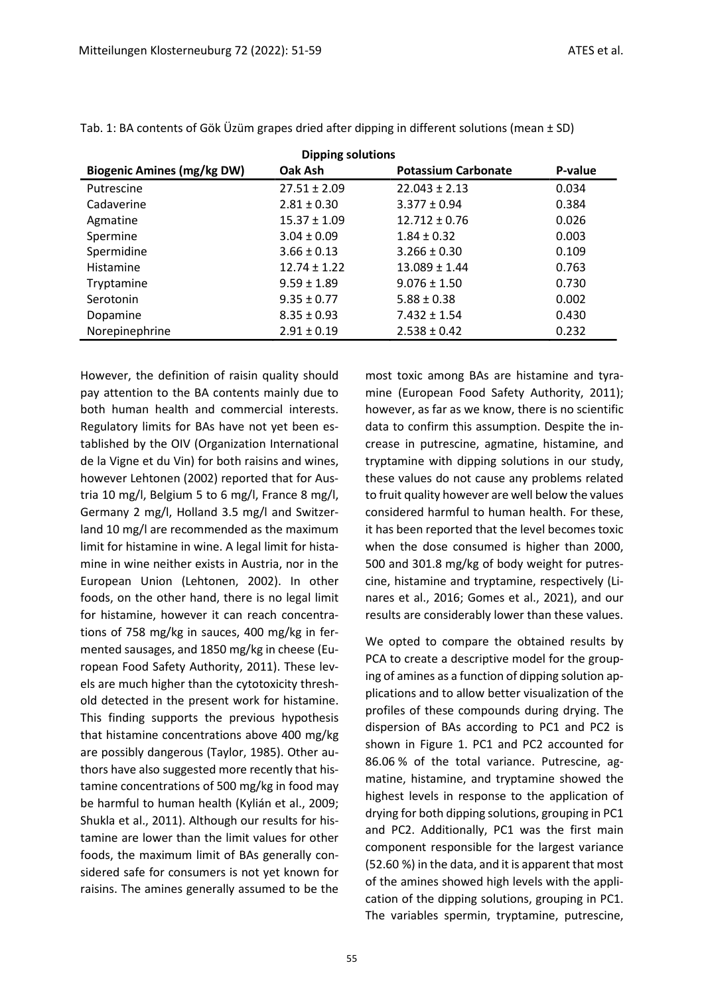| <b>Biogenic Amines (mg/kg DW)</b> | <b>Dipping solutions</b><br>Oak Ash | <b>Potassium Carbonate</b> | P-value |
|-----------------------------------|-------------------------------------|----------------------------|---------|
| Putrescine                        | $27.51 \pm 2.09$                    | $22.043 \pm 2.13$          | 0.034   |
| Cadaverine                        | $2.81 \pm 0.30$                     | $3.377 \pm 0.94$           | 0.384   |
| Agmatine                          | $15.37 \pm 1.09$                    | $12.712 \pm 0.76$          | 0.026   |
| Spermine                          | $3.04 \pm 0.09$                     | $1.84 \pm 0.32$            | 0.003   |
| Spermidine                        | $3.66 \pm 0.13$                     | $3.266 \pm 0.30$           | 0.109   |
| Histamine                         | $12.74 \pm 1.22$                    | $13.089 \pm 1.44$          | 0.763   |
| Tryptamine                        | $9.59 \pm 1.89$                     | $9.076 \pm 1.50$           | 0.730   |
| Serotonin                         | $9.35 \pm 0.77$                     | $5.88 \pm 0.38$            | 0.002   |
| Dopamine                          | $8.35 \pm 0.93$                     | $7.432 \pm 1.54$           | 0.430   |
| Norepinephrine                    | $2.91 \pm 0.19$                     | $2.538 \pm 0.42$           | 0.232   |

Tab. 1: BA contents of Gök Üzüm grapes dried after dipping in different solutions (mean ± SD)

However, the definition of raisin quality should pay attention to the BA contents mainly due to both human health and commercial interests. Regulatory limits for BAs have not yet been established by the OIV (Organization International de la Vigne et du Vin) for both raisins and wines, however Lehtonen (2002) reported that for Austria 10 mg/l, Belgium 5 to 6 mg/l, France 8 mg/l, Germany 2 mg/l, Holland 3.5 mg/l and Switzerland 10 mg/l are recommended as the maximum limit for histamine in wine. A legal limit for histamine in wine neither exists in Austria, nor in the European Union (Lehtonen, 2002). In other foods, on the other hand, there is no legal limit for histamine, however it can reach concentrations of 758 mg/kg in sauces, 400 mg/kg in fermented sausages, and 1850 mg/kg in cheese (European Food Safety Authority, 2011). These levels are much higher than the cytotoxicity threshold detected in the present work for histamine. This finding supports the previous hypothesis that histamine concentrations above 400 mg/kg are possibly dangerous (Taylor, 1985). Other authors have also suggested more recently that histamine concentrations of 500 mg/kg in food may be harmful to human health (Kylián et al., 2009; Shukla et al., 2011). Although our results for histamine are lower than the limit values for other foods, the maximum limit of BAs generally considered safe for consumers is not yet known for raisins. The amines generally assumed to be the

most toxic among BAs are histamine and tyramine (European Food Safety Authority, 2011); however, as far as we know, there is no scientific data to confirm this assumption. Despite the increase in putrescine, agmatine, histamine, and tryptamine with dipping solutions in our study, these values do not cause any problems related to fruit quality however are well below the values considered harmful to human health. For these, it has been reported that the level becomes toxic when the dose consumed is higher than 2000, 500 and 301.8 mg/kg of body weight for putrescine, histamine and tryptamine, respectively (Linares et al., 2016; Gomes et al., 2021), and our results are considerably lower than these values.

We opted to compare the obtained results by PCA to create a descriptive model for the grouping of amines as a function of dipping solution applications and to allow better visualization of the profiles of these compounds during drying. The dispersion of BAs according to PC1 and PC2 is shown in Figure 1. PC1 and PC2 accounted for 86.06 % of the total variance. Putrescine, agmatine, histamine, and tryptamine showed the highest levels in response to the application of drying for both dipping solutions, grouping in PC1 and PC2. Additionally, PC1 was the first main component responsible for the largest variance (52.60 %) in the data, and it is apparent that most of the amines showed high levels with the application of the dipping solutions, grouping in PC1. The variables spermin, tryptamine, putrescine,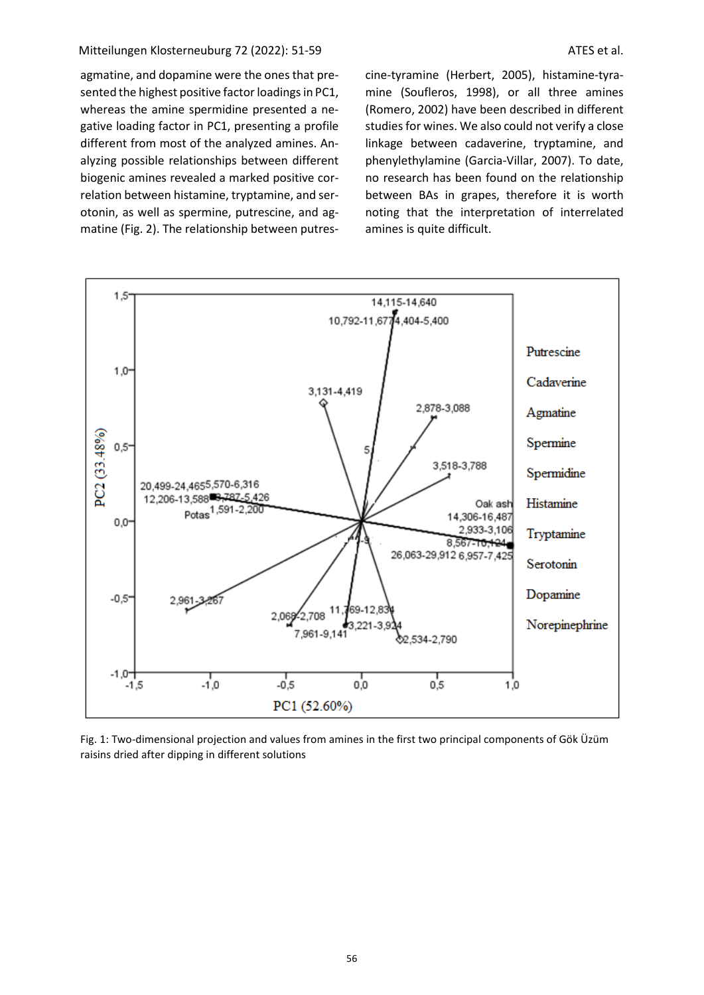agmatine, and dopamine were the ones that presented the highest positive factor loadings in PC1, whereas the amine spermidine presented a negative loading factor in PC1, presenting a profile different from most of the analyzed amines. Analyzing possible relationships between different biogenic amines revealed a marked positive correlation between histamine, tryptamine, and serotonin, as well as spermine, putrescine, and agmatine (Fig. 2). The relationship between putrescine-tyramine (Herbert, 2005), histamine-tyramine (Soufleros, 1998), or all three amines (Romero, 2002) have been described in different studies for wines. We also could not verify a close linkage between cadaverine, tryptamine, and phenylethylamine (Garcia-Villar, 2007). To date, no research has been found on the relationship between BAs in grapes, therefore it is worth noting that the interpretation of interrelated amines is quite difficult.



Fig. 1: Two-dimensional projection and values from amines in the first two principal components of Gök Üzüm raisins dried after dipping in different solutions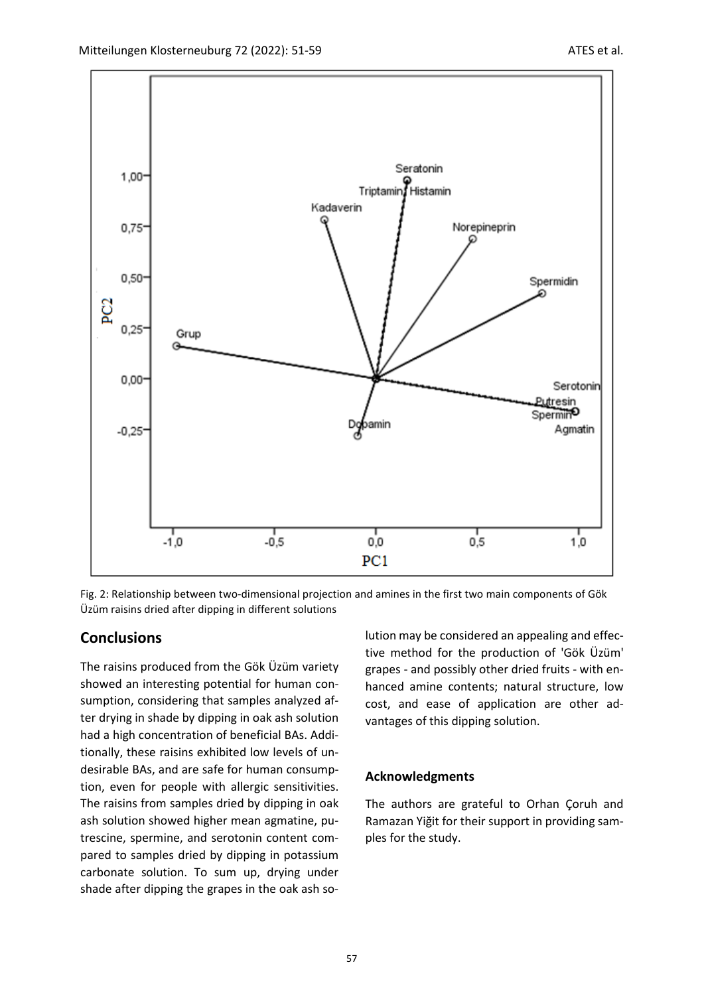

Fig. 2: Relationship between two-dimensional projection and amines in the first two main components of Gök Üzüm raisins dried after dipping in different solutions

### **Conclusions**

The raisins produced from the Gök Üzüm variety showed an interesting potential for human consumption, considering that samples analyzed after drying in shade by dipping in oak ash solution had a high concentration of beneficial BAs. Additionally, these raisins exhibited low levels of undesirable BAs, and are safe for human consumption, even for people with allergic sensitivities. The raisins from samples dried by dipping in oak ash solution showed higher mean agmatine, putrescine, spermine, and serotonin content compared to samples dried by dipping in potassium carbonate solution. To sum up, drying under shade after dipping the grapes in the oak ash solution may be considered an appealing and effective method for the production of 'Gök Üzüm' grapes - and possibly other dried fruits - with enhanced amine contents; natural structure, low cost, and ease of application are other advantages of this dipping solution.

#### **Acknowledgments**

The authors are grateful to Orhan Çoruh and Ramazan Yiğit for their support in providing samples for the study.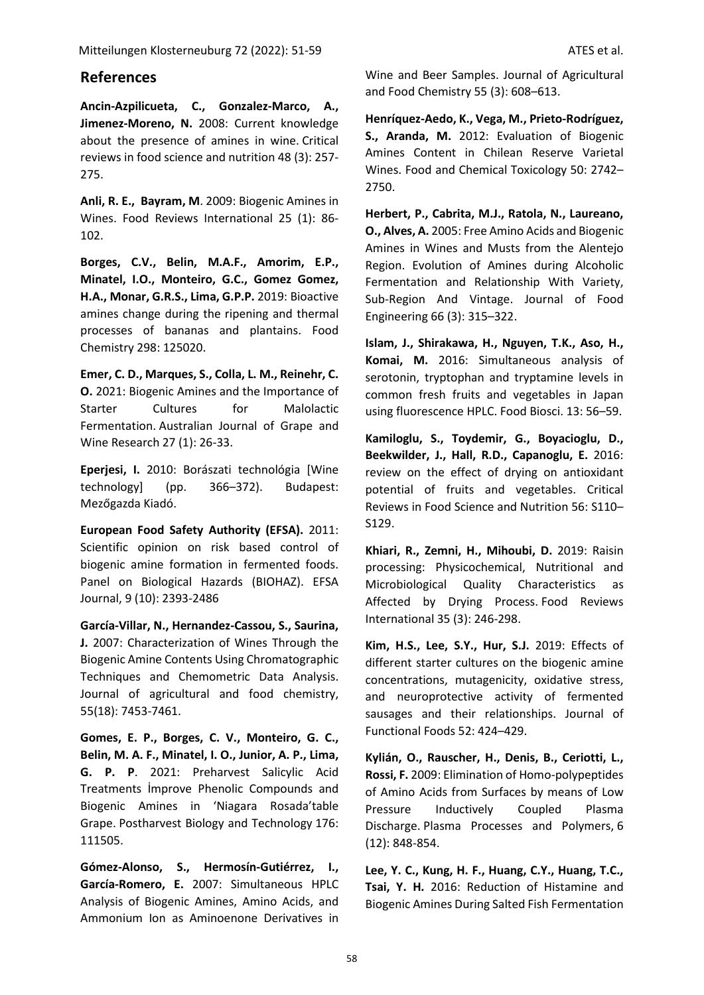## **References**

**Ancin-Azpilicueta, C., Gonzalez-Marco, A., Jimenez-Moreno, N.** 2008: Current knowledge about the presence of amines in wine. Critical reviews in food science and nutrition 48 (3): 257- 275.

**Anli, R. E., Bayram, M**. 2009: Biogenic Amines in Wines. Food Reviews International 25 (1): 86- 102.

**Borges, C.V., Belin, M.A.F., Amorim, E.P., Minatel, I.O., Monteiro, G.C., Gomez Gomez, H.A., Monar, G.R.S., Lima, G.P.P.** 2019: Bioactive amines change during the ripening and thermal processes of bananas and plantains. Food Chemistry 298: 125020.

**Emer, C. D., Marques, S., Colla, L. M., Reinehr, C. O.** 2021: Biogenic Amines and the Importance of Starter Cultures for Malolactic Fermentation. Australian Journal of Grape and Wine Research 27 (1): 26-33.

**Eperjesi, I.** 2010: Borászati technológia [Wine technology] (pp. 366–372). Budapest: Mezőgazda Kiadó.

**European Food Safety Authority (EFSA).** 2011: Scientific opinion on risk based control of biogenic amine formation in fermented foods. Panel on Biological Hazards (BIOHAZ). EFSA Journal, 9 (10): 2393-2486

**García-Villar, N., Hernandez-Cassou, S., Saurina, J.** 2007: Characterization of Wines Through the Biogenic Amine Contents Using Chromatographic Techniques and Chemometric Data Analysis. Journal of agricultural and food chemistry, 55(18): 7453-7461.

**Gomes, E. P., Borges, C. V., Monteiro, G. C., Belin, M. A. F., Minatel, I. O., Junior, A. P., Lima, G. P. P**. 2021: Preharvest Salicylic Acid Treatments İmprove Phenolic Compounds and Biogenic Amines in 'Niagara Rosada'table Grape. Postharvest Biology and Technology 176: 111505.

**Gómez-Alonso, S., Hermosín-Gutiérrez, I., García-Romero, E.** 2007: Simultaneous HPLC Analysis of Biogenic Amines, Amino Acids, and Ammonium Ion as Aminoenone Derivatives in Wine and Beer Samples. Journal of Agricultural and Food Chemistry 55 (3): 608–613.

**Henríquez-Aedo, K., Vega, M., Prieto-Rodríguez, S., Aranda, M.** 2012: Evaluation of Biogenic Amines Content in Chilean Reserve Varietal Wines. Food and Chemical Toxicology 50: 2742– 2750.

**Herbert, P., Cabrita, M.J., Ratola, N., Laureano, O., Alves, A.** 2005: Free Amino Acids and Biogenic Amines in Wines and Musts from the Alentejo Region. Evolution of Amines during Alcoholic Fermentation and Relationship With Variety, Sub-Region And Vintage. Journal of Food Engineering 66 (3): 315–322.

**Islam, J., Shirakawa, H., Nguyen, T.K., Aso, H., Komai, M.** 2016: Simultaneous analysis of serotonin, tryptophan and tryptamine levels in common fresh fruits and vegetables in Japan using fluorescence HPLC. Food Biosci. 13: 56–59.

**Kamiloglu, S., Toydemir, G., Boyacioglu, D., Beekwilder, J., Hall, R.D., Capanoglu, E.** 2016: review on the effect of drying on antioxidant potential of fruits and vegetables. Critical Reviews in Food Science and Nutrition 56: S110– S129.

**Khiari, R., Zemni, H., Mihoubi, D.** 2019: Raisin processing: Physicochemical, Nutritional and Microbiological Quality Characteristics as Affected by Drying Process. Food Reviews International 35 (3): 246-298.

**Kim, H.S., Lee, S.Y., Hur, S.J.** 2019: Effects of different starter cultures on the biogenic amine concentrations, mutagenicity, oxidative stress, and neuroprotective activity of fermented sausages and their relationships. Journal of Functional Foods 52: 424–429.

**Kylián, O., Rauscher, H., Denis, B., Ceriotti, L., Rossi, F.** 2009: Elimination of Homo-polypeptides of Amino Acids from Surfaces by means of Low Pressure Inductively Coupled Plasma Discharge. Plasma Processes and Polymers, 6 (12): 848-854.

**Lee, Y. C., Kung, H. F., Huang, C.Y., Huang, T.C., Tsai, Y. H.** 2016: Reduction of Histamine and Biogenic Amines During Salted Fish Fermentation